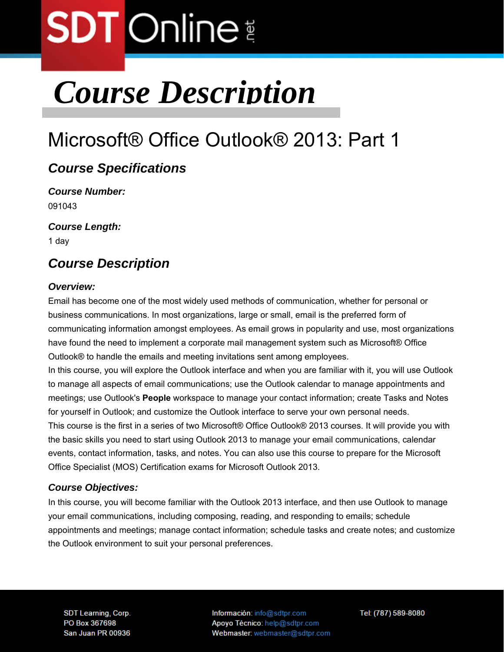### *Course Description*

### Microsoft® Office Outlook® 2013: Part 1

#### *Course Specifications*

*Course Number:*  091043

*Course Length:* 

1 day

#### *Course Description*

#### *Overview:*

Email has become one of the most widely used methods of communication, whether for personal or business communications. In most organizations, large or small, email is the preferred form of communicating information amongst employees. As email grows in popularity and use, most organizations have found the need to implement a corporate mail management system such as Microsoft® Office Outlook® to handle the emails and meeting invitations sent among employees.

In this course, you will explore the Outlook interface and when you are familiar with it, you will use Outlook to manage all aspects of email communications; use the Outlook calendar to manage appointments and meetings; use Outlook's **People** workspace to manage your contact information; create Tasks and Notes for yourself in Outlook; and customize the Outlook interface to serve your own personal needs. This course is the first in a series of two Microsoft® Office Outlook® 2013 courses. It will provide you with the basic skills you need to start using Outlook 2013 to manage your email communications, calendar events, contact information, tasks, and notes. You can also use this course to prepare for the Microsoft Office Specialist (MOS) Certification exams for Microsoft Outlook 2013.

#### *Course Objectives:*

In this course, you will become familiar with the Outlook 2013 interface, and then use Outlook to manage your email communications, including composing, reading, and responding to emails; schedule appointments and meetings; manage contact information; schedule tasks and create notes; and customize the Outlook environment to suit your personal preferences.

**SDT Learning, Corp.** PO Box 367698 San Juan PR 00936 Información: info@sdtpr.com Apoyo Técnico: help@sdtpr.com Webmaster: webmaster@sdtpr.com Tel: (787) 589-8080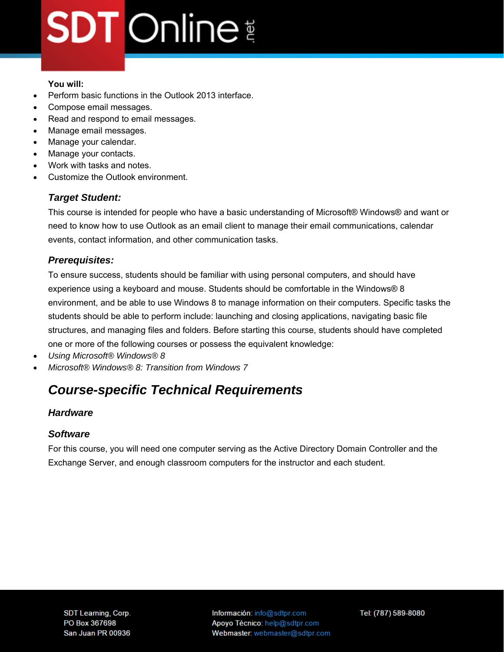#### **You will:**

- Perform basic functions in the Outlook 2013 interface.
- Compose email messages.
- Read and respond to email messages.
- Manage email messages.
- Manage your calendar.
- Manage your contacts.
- Work with tasks and notes.
- Customize the Outlook environment.

#### *Target Student:*

This course is intended for people who have a basic understanding of Microsoft® Windows® and want or need to know how to use Outlook as an email client to manage their email communications, calendar events, contact information, and other communication tasks.

#### *Prerequisites:*

To ensure success, students should be familiar with using personal computers, and should have experience using a keyboard and mouse. Students should be comfortable in the Windows® 8 environment, and be able to use Windows 8 to manage information on their computers. Specific tasks the students should be able to perform include: launching and closing applications, navigating basic file structures, and managing files and folders. Before starting this course, students should have completed one or more of the following courses or possess the equivalent knowledge:

- *Using Microsoft® Windows® 8*
- *Microsoft® Windows® 8: Transition from Windows 7*

#### *Course-specific Technical Requirements*

#### *Hardware*

#### *Software*

For this course, you will need one computer serving as the Active Directory Domain Controller and the Exchange Server, and enough classroom computers for the instructor and each student.

Información: info@sdtpr.com Apoyo Técnico: help@sdtpr.com Webmaster: webmaster@sdtpr.com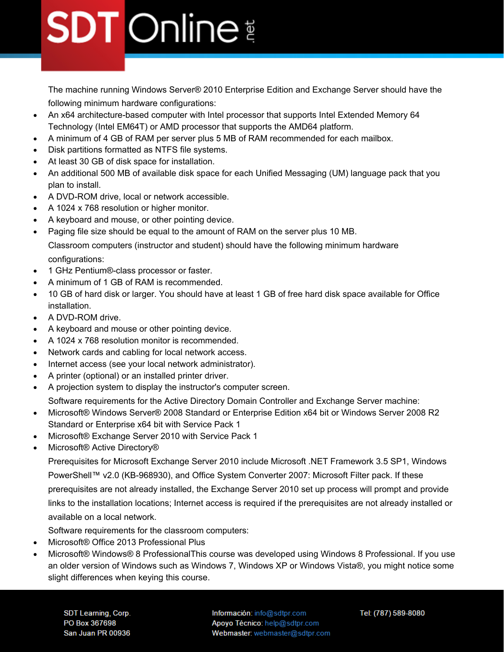The machine running Windows Server® 2010 Enterprise Edition and Exchange Server should have the following minimum hardware configurations:

- An x64 architecture-based computer with Intel processor that supports Intel Extended Memory 64 Technology (Intel EM64T) or AMD processor that supports the AMD64 platform.
- A minimum of 4 GB of RAM per server plus 5 MB of RAM recommended for each mailbox.
- Disk partitions formatted as NTFS file systems.
- At least 30 GB of disk space for installation.
- An additional 500 MB of available disk space for each Unified Messaging (UM) language pack that you plan to install.
- A DVD-ROM drive, local or network accessible.
- A 1024 x 768 resolution or higher monitor.
- A keyboard and mouse, or other pointing device.
- Paging file size should be equal to the amount of RAM on the server plus 10 MB. Classroom computers (instructor and student) should have the following minimum hardware configurations:
- 1 GHz Pentium®-class processor or faster.
- A minimum of 1 GB of RAM is recommended.
- 10 GB of hard disk or larger. You should have at least 1 GB of free hard disk space available for Office installation.
- A DVD-ROM drive.
- A keyboard and mouse or other pointing device.
- A 1024 x 768 resolution monitor is recommended.
- Network cards and cabling for local network access.
- Internet access (see your local network administrator).
- A printer (optional) or an installed printer driver.
- A projection system to display the instructor's computer screen.

Software requirements for the Active Directory Domain Controller and Exchange Server machine:

- Microsoft® Windows Server® 2008 Standard or Enterprise Edition x64 bit or Windows Server 2008 R2 Standard or Enterprise x64 bit with Service Pack 1
- Microsoft® Exchange Server 2010 with Service Pack 1
- Microsoft® Active Directory®

Prerequisites for Microsoft Exchange Server 2010 include Microsoft .NET Framework 3.5 SP1, Windows PowerShell™ v2.0 (KB-968930), and Office System Converter 2007: Microsoft Filter pack. If these prerequisites are not already installed, the Exchange Server 2010 set up process will prompt and provide links to the installation locations; Internet access is required if the prerequisites are not already installed or available on a local network.

Software requirements for the classroom computers:

- Microsoft® Office 2013 Professional Plus
- Microsoft® Windows® 8 ProfessionalThis course was developed using Windows 8 Professional. If you use an older version of Windows such as Windows 7, Windows XP or Windows Vista®, you might notice some slight differences when keying this course.

**SDT Learning, Corp.** PO Box 367698 San Juan PR 00936 Información: info@sdtpr.com Apoyo Técnico: help@sdtpr.com Webmaster: webmaster@sdtpr.com Tel: (787) 589-8080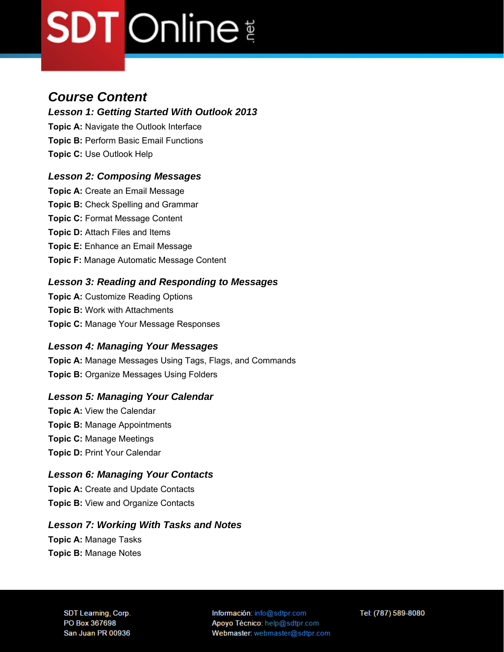#### *Course Content*

*Lesson 1: Getting Started With Outlook 2013* 

**Topic A:** Navigate the Outlook Interface **Topic B:** Perform Basic Email Functions **Topic C:** Use Outlook Help

#### *Lesson 2: Composing Messages*

**Topic A: Create an Email Message Topic B:** Check Spelling and Grammar **Topic C:** Format Message Content **Topic D: Attach Files and Items Topic E:** Enhance an Email Message **Topic F:** Manage Automatic Message Content

#### *Lesson 3: Reading and Responding to Messages*

**Topic A: Customize Reading Options Topic B:** Work with Attachments **Topic C:** Manage Your Message Responses

#### *Lesson 4: Managing Your Messages*

**Topic A:** Manage Messages Using Tags, Flags, and Commands **Topic B:** Organize Messages Using Folders

#### *Lesson 5: Managing Your Calendar*

**Topic A:** View the Calendar **Topic B:** Manage Appointments **Topic C:** Manage Meetings **Topic D:** Print Your Calendar

#### *Lesson 6: Managing Your Contacts*

**Topic A:** Create and Update Contacts **Topic B:** View and Organize Contacts

#### *Lesson 7: Working With Tasks and Notes*

**Topic A:** Manage Tasks **Topic B:** Manage Notes

> **SDT Learning, Corp.** PO Box 367698 San Juan PR 00936

Información: info@sdtpr.com Apoyo Técnico: help@sdtpr.com Webmaster: webmaster@sdtpr.com